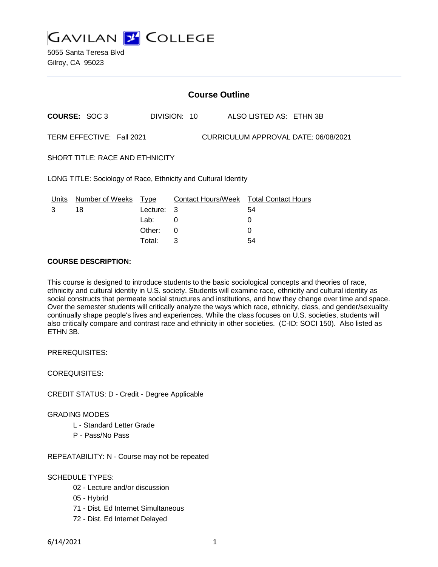

| <b>Course Outline</b>                                             |                      |            |              |                                        |
|-------------------------------------------------------------------|----------------------|------------|--------------|----------------------------------------|
|                                                                   | <b>COURSE: SOC 3</b> |            | DIVISION: 10 | ALSO LISTED AS: ETHN 3B                |
| TERM EFFECTIVE: Fall 2021<br>CURRICULUM APPROVAL DATE: 06/08/2021 |                      |            |              |                                        |
| <b>SHORT TITLE: RACE AND ETHNICITY</b>                            |                      |            |              |                                        |
| LONG TITLE: Sociology of Race, Ethnicity and Cultural Identity    |                      |            |              |                                        |
| Units                                                             | Number of Weeks Type |            |              | Contact Hours/Week Total Contact Hours |
| 3                                                                 | 18                   | Lecture: 3 |              | 54                                     |
|                                                                   |                      | Lab:       | 0            | 0                                      |
|                                                                   |                      | Other:     | 0            | 0                                      |
|                                                                   |                      | Total:     | 3            | 54                                     |

### **COURSE DESCRIPTION:**

This course is designed to introduce students to the basic sociological concepts and theories of race, ethnicity and cultural identity in U.S. society. Students will examine race, ethnicity and cultural identity as social constructs that permeate social structures and institutions, and how they change over time and space. Over the semester students will critically analyze the ways which race, ethnicity, class, and gender/sexuality continually shape people's lives and experiences. While the class focuses on U.S. societies, students will also critically compare and contrast race and ethnicity in other societies. (C-ID: SOCI 150). Also listed as ETHN 3B.

PREREQUISITES:

COREQUISITES:

CREDIT STATUS: D - Credit - Degree Applicable

GRADING MODES

- L Standard Letter Grade
- P Pass/No Pass

REPEATABILITY: N - Course may not be repeated

## SCHEDULE TYPES:

- 02 Lecture and/or discussion
- 05 Hybrid
- 71 Dist. Ed Internet Simultaneous
- 72 Dist. Ed Internet Delayed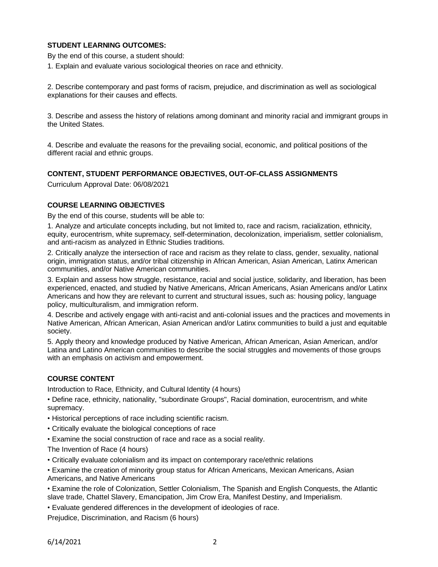# **STUDENT LEARNING OUTCOMES:**

By the end of this course, a student should:

1. Explain and evaluate various sociological theories on race and ethnicity.

2. Describe contemporary and past forms of racism, prejudice, and discrimination as well as sociological explanations for their causes and effects.

3. Describe and assess the history of relations among dominant and minority racial and immigrant groups in the United States.

4. Describe and evaluate the reasons for the prevailing social, economic, and political positions of the different racial and ethnic groups.

## **CONTENT, STUDENT PERFORMANCE OBJECTIVES, OUT-OF-CLASS ASSIGNMENTS**

Curriculum Approval Date: 06/08/2021

## **COURSE LEARNING OBJECTIVES**

By the end of this course, students will be able to:

1. Analyze and articulate concepts including, but not limited to, race and racism, racialization, ethnicity, equity, eurocentrism, white supremacy, self-determination, decolonization, imperialism, settler colonialism, and anti-racism as analyzed in Ethnic Studies traditions.

2. Critically analyze the intersection of race and racism as they relate to class, gender, sexuality, national origin, immigration status, and/or tribal citizenship in African American, Asian American, Latinx American communities, and/or Native American communities.

3. Explain and assess how struggle, resistance, racial and social justice, solidarity, and liberation, has been experienced, enacted, and studied by Native Americans, African Americans, Asian Americans and/or Latinx Americans and how they are relevant to current and structural issues, such as: housing policy, language policy, multiculturalism, and immigration reform.

4. Describe and actively engage with anti-racist and anti-colonial issues and the practices and movements in Native American, African American, Asian American and/or Latinx communities to build a just and equitable society.

5. Apply theory and knowledge produced by Native American, African American, Asian American, and/or Latina and Latino American communities to describe the social struggles and movements of those groups with an emphasis on activism and empowerment.

# **COURSE CONTENT**

Introduction to Race, Ethnicity, and Cultural Identity (4 hours)

• Define race, ethnicity, nationality, "subordinate Groups", Racial domination, eurocentrism, and white supremacy.

- Historical perceptions of race including scientific racism.
- Critically evaluate the biological conceptions of race
- Examine the social construction of race and race as a social reality.
- The Invention of Race (4 hours)
- Critically evaluate colonialism and its impact on contemporary race/ethnic relations
- Examine the creation of minority group status for African Americans, Mexican Americans, Asian Americans, and Native Americans

• Examine the role of Colonization, Settler Colonialism, The Spanish and English Conquests, the Atlantic slave trade, Chattel Slavery, Emancipation, Jim Crow Era, Manifest Destiny, and Imperialism.

• Evaluate gendered differences in the development of ideologies of race.

Prejudice, Discrimination, and Racism (6 hours)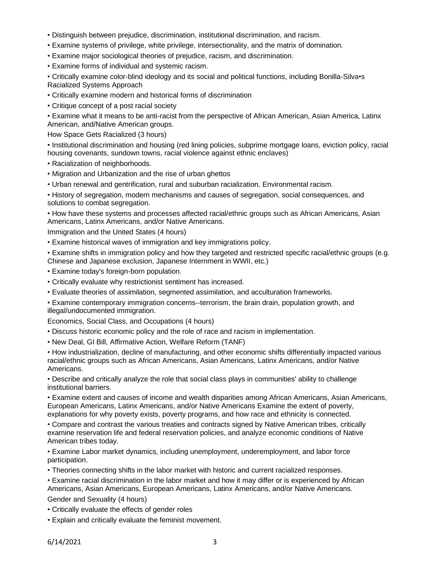- Distinguish between prejudice, discrimination, institutional discrimination, and racism.
- Examine systems of privilege, white privilege, intersectionality, and the matrix of domination.
- Examine major sociological theories of prejudice, racism, and discrimination.
- Examine forms of individual and systemic racism.

• Critically examine color-blind ideology and its social and political functions, including Bonilla-Silva•s Racialized Systems Approach

- Critically examine modern and historical forms of discrimination
- Critique concept of a post racial society

• Examine what it means to be anti-racist from the perspective of African American, Asian America, Latinx American, and/Native American groups.

How Space Gets Racialized (3 hours)

• Institutional discrimination and housing (red lining policies, subprime mortgage loans, eviction policy, racial housing covenants, sundown towns, racial violence against ethnic enclaves)

- Racialization of neighborhoods.
- Migration and Urbanization and the rise of urban ghettos
- Urban renewal and gentrification, rural and suburban racialization, Environmental racism.

• History of segregation, modern mechanisms and causes of segregation, social consequences, and solutions to combat segregation.

• How have these systems and processes affected racial/ethnic groups such as African Americans, Asian Americans, Latinx Americans, and/or Native Americans.

Immigration and the United States (4 hours)

• Examine historical waves of immigration and key immigrations policy.

• Examine shifts in immigration policy and how they targeted and restricted specific racial/ethnic groups (e.g. Chinese and Japanese exclusion, Japanese Internment in WWII, etc.)

- Examine today's foreign-born population.
- Critically evaluate why restrictionist sentiment has increased.
- Evaluate theories of assimilation, segmented assimilation, and acculturation frameworks.
- Examine contemporary immigration concerns--terrorism, the brain drain, population growth, and illegal/undocumented immigration.

Economics, Social Class, and Occupations (4 hours)

- Discuss historic economic policy and the role of race and racism in implementation.
- New Deal, GI Bill, Affirmative Action, Welfare Reform (TANF)

• How industrialization, decline of manufacturing, and other economic shifts differentially impacted various racial/ethnic groups such as African Americans, Asian Americans, Latinx Americans, and/or Native Americans.

• Describe and critically analyze the role that social class plays in communities' ability to challenge institutional barriers.

• Examine extent and causes of income and wealth disparities among African Americans, Asian Americans, European Americans, Latinx Americans, and/or Native Americans Examine the extent of poverty, explanations for why poverty exists, poverty programs, and how race and ethnicity is connected.

• Compare and contrast the various treaties and contracts signed by Native American tribes, critically examine reservation life and federal reservation policies, and analyze economic conditions of Native American tribes today.

• Examine Labor market dynamics, including unemployment, underemployment, and labor force participation.

• Theories connecting shifts in the labor market with historic and current racialized responses.

• Examine racial discrimination in the labor market and how it may differ or is experienced by African Americans, Asian Americans, European Americans, Latinx Americans, and/or Native Americans. Gender and Sexuality (4 hours)

• Critically evaluate the effects of gender roles

• Explain and critically evaluate the feminist movement.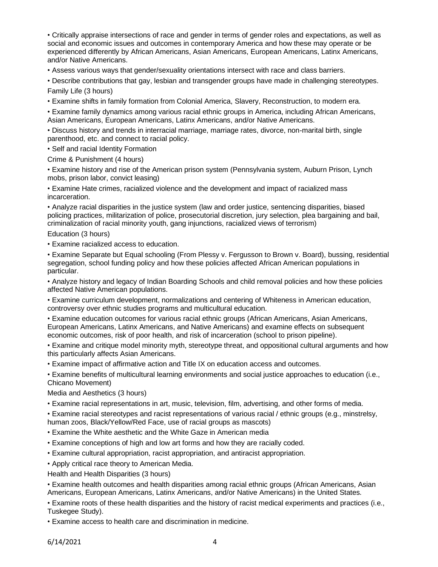• Critically appraise intersections of race and gender in terms of gender roles and expectations, as well as social and economic issues and outcomes in contemporary America and how these may operate or be experienced differently by African Americans, Asian Americans, European Americans, Latinx Americans, and/or Native Americans.

• Assess various ways that gender/sexuality orientations intersect with race and class barriers.

• Describe contributions that gay, lesbian and transgender groups have made in challenging stereotypes. Family Life (3 hours)

• Examine shifts in family formation from Colonial America, Slavery, Reconstruction, to modern era.

• Examine family dynamics among various racial ethnic groups in America, including African Americans, Asian Americans, European Americans, Latinx Americans, and/or Native Americans.

• Discuss history and trends in interracial marriage, marriage rates, divorce, non-marital birth, single parenthood, etc. and connect to racial policy.

• Self and racial Identity Formation

Crime & Punishment (4 hours)

• Examine history and rise of the American prison system (Pennsylvania system, Auburn Prison, Lynch mobs, prison labor, convict leasing)

• Examine Hate crimes, racialized violence and the development and impact of racialized mass incarceration.

• Analyze racial disparities in the justice system (law and order justice, sentencing disparities, biased policing practices, militarization of police, prosecutorial discretion, jury selection, plea bargaining and bail, criminalization of racial minority youth, gang injunctions, racialized views of terrorism)

Education (3 hours)

• Examine racialized access to education.

• Examine Separate but Equal schooling (From Plessy v. Fergusson to Brown v. Board), bussing, residential segregation, school funding policy and how these policies affected African American populations in particular.

• Analyze history and legacy of Indian Boarding Schools and child removal policies and how these policies affected Native American populations.

• Examine curriculum development, normalizations and centering of Whiteness in American education, controversy over ethnic studies programs and multicultural education.

• Examine education outcomes for various racial ethnic groups (African Americans, Asian Americans, European Americans, Latinx Americans, and Native Americans) and examine effects on subsequent economic outcomes, risk of poor health, and risk of incarceration (school to prison pipeline).

• Examine and critique model minority myth, stereotype threat, and oppositional cultural arguments and how this particularly affects Asian Americans.

• Examine impact of affirmative action and Title IX on education access and outcomes.

• Examine benefits of multicultural learning environments and social justice approaches to education (i.e., Chicano Movement)

Media and Aesthetics (3 hours)

• Examine racial representations in art, music, television, film, advertising, and other forms of media.

• Examine racial stereotypes and racist representations of various racial / ethnic groups (e.g., minstrelsy, human zoos, Black/Yellow/Red Face, use of racial groups as mascots)

• Examine the White aesthetic and the White Gaze in American media

• Examine conceptions of high and low art forms and how they are racially coded.

• Examine cultural appropriation, racist appropriation, and antiracist appropriation.

• Apply critical race theory to American Media.

Health and Health Disparities (3 hours)

• Examine health outcomes and health disparities among racial ethnic groups (African Americans, Asian Americans, European Americans, Latinx Americans, and/or Native Americans) in the United States.

• Examine roots of these health disparities and the history of racist medical experiments and practices (i.e., Tuskegee Study).

• Examine access to health care and discrimination in medicine.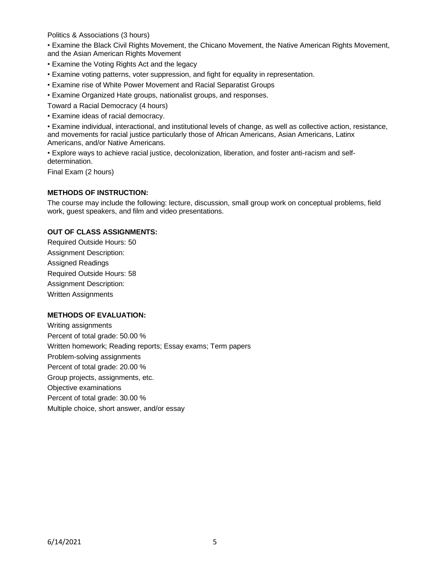Politics & Associations (3 hours)

• Examine the Black Civil Rights Movement, the Chicano Movement, the Native American Rights Movement, and the Asian American Rights Movement

- Examine the Voting Rights Act and the legacy
- Examine voting patterns, voter suppression, and fight for equality in representation.
- Examine rise of White Power Movement and Racial Separatist Groups
- Examine Organized Hate groups, nationalist groups, and responses.

Toward a Racial Democracy (4 hours)

• Examine ideas of racial democracy.

• Examine individual, interactional, and institutional levels of change, as well as collective action, resistance, and movements for racial justice particularly those of African Americans, Asian Americans, Latinx Americans, and/or Native Americans.

• Explore ways to achieve racial justice, decolonization, liberation, and foster anti-racism and selfdetermination.

Final Exam (2 hours)

### **METHODS OF INSTRUCTION:**

The course may include the following: lecture, discussion, small group work on conceptual problems, field work, guest speakers, and film and video presentations.

## **OUT OF CLASS ASSIGNMENTS:**

Required Outside Hours: 50 Assignment Description: Assigned Readings Required Outside Hours: 58 Assignment Description: Written Assignments

#### **METHODS OF EVALUATION:**

Writing assignments Percent of total grade: 50.00 % Written homework; Reading reports; Essay exams; Term papers Problem-solving assignments Percent of total grade: 20.00 % Group projects, assignments, etc. Objective examinations Percent of total grade: 30.00 % Multiple choice, short answer, and/or essay